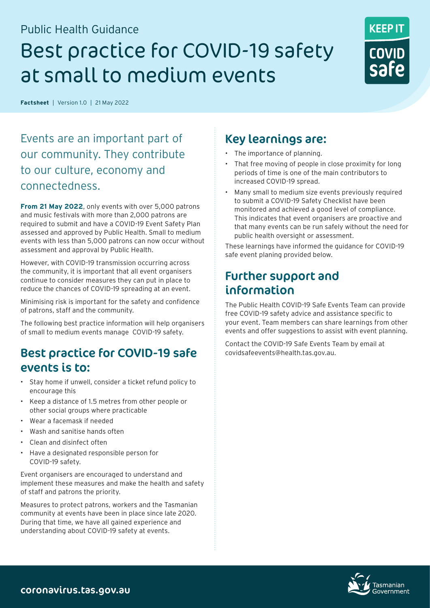# Public Health Guidance Best practice for COVID-19 safety at small to medium events



**Factsheet**|Version 1.0|21 May 2022

Events are an important part of our community. They contribute to our culture, economy and connectedness.

**From 21 May 2022**, only events with over 5,000 patrons and music festivals with more than 2,000 patrons are required to submit and have a COVID-19 Event Safety Plan assessed and approved by Public Health. Small to medium events with less than 5,000 patrons can now occur without assessment and approval by Public Health.

However, with COVID-19 transmission occurring across the community, it is important that all event organisers continue to consider measures they can put in place to reduce the chances of COVID-19 spreading at an event.

Minimising risk is important for the safety and confidence of patrons, staff and the community.

The following best practice information will help organisers of small to medium events manage COVID-19 safety.

#### Best practice for COVID-19 safe events is to:

- Stav home if unwell, consider a ticket refund policy to encourage this
- Keep a distance of 1.5 metres from other people or other social groups where practicable
- Wear a facemask if needed
- Wash and sanitise hands often
- Clean and disinfect often
- Have a designated responsible person for COVID-19 safety.

Event organisers are encouraged to understand and implement these measures and make the health and safety of staff and patrons the priority.

Measures to protect patrons, workers and the Tasmanian community at events have been in place since late 2020. During that time, we have all gained experience and understanding about COVID-19 safety at events.

### Key learnings are:

- The importance of planning.
- That free moving of people in close proximity for long periods of time is one of the main contributors to increased COVID-19 spread.
- Many small to medium size events previously required to submit a COVID-19 Safety Checklist have been monitored and achieved a good level of compliance. This indicates that event organisers are proactive and that many events can be run safely without the need for public health oversight or assessment.

These learnings have informed the guidance for COVID-19 safe event planing provided below.

## Further support and information

The Public Health COVID-19 Safe Events Team can provide free COVID-19 safety advice and assistance specific to your event. Team members can share learnings from other events and offer suggestions to assist with event planning.

Contact the COVID-19 Safe Events Team by email at [covidsafeevents@health.tas.gov.au](mailto:covidsafeevents%40health.tas.gov.au?subject=).

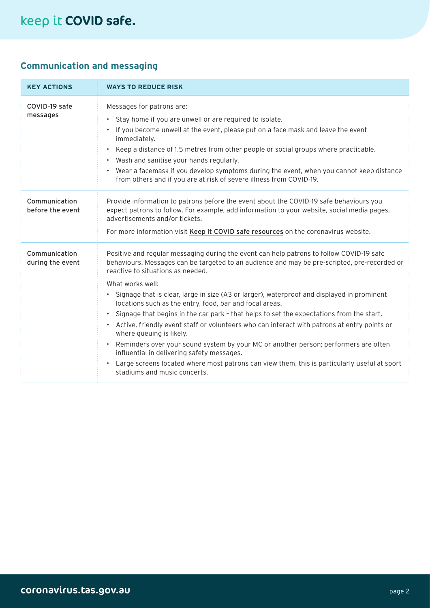# keep it COVID safe.

#### **Communication and messaging**

| <b>KEY ACTIONS</b>                | <b>WAYS TO REDUCE RISK</b>                                                                                                                                                                                                                                                                                                                                                                                                                                                                                                                                                                                                                                                                                                                                                                                                                                                                                                                        |
|-----------------------------------|---------------------------------------------------------------------------------------------------------------------------------------------------------------------------------------------------------------------------------------------------------------------------------------------------------------------------------------------------------------------------------------------------------------------------------------------------------------------------------------------------------------------------------------------------------------------------------------------------------------------------------------------------------------------------------------------------------------------------------------------------------------------------------------------------------------------------------------------------------------------------------------------------------------------------------------------------|
| COVID-19 safe<br>messages         | Messages for patrons are:<br>Stay home if you are unwell or are required to isolate.<br>If you become unwell at the event, please put on a face mask and leave the event<br>$\bullet$<br>immediately.<br>Keep a distance of 1.5 metres from other people or social groups where practicable.<br>$\bullet$<br>Wash and sanitise your hands regularly.<br>$\bullet$<br>• Wear a facemask if you develop symptoms during the event, when you cannot keep distance<br>from others and if you are at risk of severe illness from COVID-19.                                                                                                                                                                                                                                                                                                                                                                                                             |
| Communication<br>before the event | Provide information to patrons before the event about the COVID-19 safe behaviours you<br>expect patrons to follow. For example, add information to your website, social media pages,<br>advertisements and/or tickets.<br>For more information visit Keep it COVID safe resources on the coronavirus website.                                                                                                                                                                                                                                                                                                                                                                                                                                                                                                                                                                                                                                    |
| Communication<br>during the event | Positive and regular messaging during the event can help patrons to follow COVID-19 safe<br>behaviours. Messages can be targeted to an audience and may be pre-scripted, pre-recorded or<br>reactive to situations as needed.<br>What works well:<br>• Signage that is clear, large in size (A3 or larger), waterproof and displayed in prominent<br>locations such as the entry, food, bar and focal areas.<br>Signage that begins in the car park - that helps to set the expectations from the start.<br>$\bullet$<br>• Active, friendly event staff or volunteers who can interact with patrons at entry points or<br>where queuing is likely.<br>Reminders over your sound system by your MC or another person; performers are often<br>$\bullet$<br>influential in delivering safety messages.<br>Large screens located where most patrons can view them, this is particularly useful at sport<br>$\bullet$<br>stadiums and music concerts. |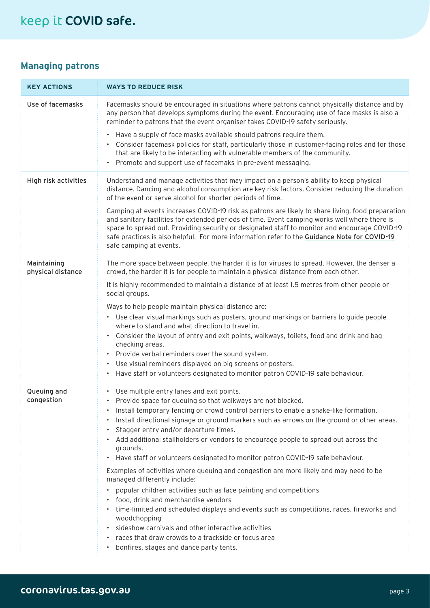#### **Managing patrons**

| <b>KEY ACTIONS</b>               | <b>WAYS TO REDUCE RISK</b>                                                                                                                                                                                                                                                                                                                                                                                                     |
|----------------------------------|--------------------------------------------------------------------------------------------------------------------------------------------------------------------------------------------------------------------------------------------------------------------------------------------------------------------------------------------------------------------------------------------------------------------------------|
| Use of facemasks                 | Facemasks should be encouraged in situations where patrons cannot physically distance and by<br>any person that develops symptoms during the event. Encouraging use of face masks is also a<br>reminder to patrons that the event organiser takes COVID-19 safety seriously.                                                                                                                                                   |
|                                  | Have a supply of face masks available should patrons require them.<br>٠<br>• Consider facemask policies for staff, particularly those in customer-facing roles and for those<br>that are likely to be interacting with vulnerable members of the community.<br>Promote and support use of facemaks in pre-event messaging.<br>٠                                                                                                |
| High risk activities             | Understand and manage activities that may impact on a person's ability to keep physical<br>distance. Dancing and alcohol consumption are key risk factors. Consider reducing the duration<br>of the event or serve alcohol for shorter periods of time.                                                                                                                                                                        |
|                                  | Camping at events increases COVID-19 risk as patrons are likely to share living, food preparation<br>and sanitary facilities for extended periods of time. Event camping works well where there is<br>space to spread out. Providing security or designated staff to monitor and encourage COVID-19<br>safe practices is also helpful. For more information refer to the Guidance Note for COVID-19<br>safe camping at events. |
| Maintaining<br>physical distance | The more space between people, the harder it is for viruses to spread. However, the denser a<br>crowd, the harder it is for people to maintain a physical distance from each other.                                                                                                                                                                                                                                            |
|                                  | It is highly recommended to maintain a distance of at least 1.5 metres from other people or<br>social groups.                                                                                                                                                                                                                                                                                                                  |
|                                  | Ways to help people maintain physical distance are:                                                                                                                                                                                                                                                                                                                                                                            |
|                                  | • Use clear visual markings such as posters, ground markings or barriers to guide people<br>where to stand and what direction to travel in.                                                                                                                                                                                                                                                                                    |
|                                  | Consider the layout of entry and exit points, walkways, toilets, food and drink and bag<br>$\bullet$<br>checking areas.                                                                                                                                                                                                                                                                                                        |
|                                  | Provide verbal reminders over the sound system.<br>$\bullet$<br>Use visual reminders displayed on big screens or posters.                                                                                                                                                                                                                                                                                                      |
|                                  | Have staff or volunteers designated to monitor patron COVID-19 safe behaviour.                                                                                                                                                                                                                                                                                                                                                 |
| Queuing and                      | • Use multiple entry lanes and exit points.                                                                                                                                                                                                                                                                                                                                                                                    |
| congestion                       | Provide space for queuing so that walkways are not blocked.                                                                                                                                                                                                                                                                                                                                                                    |
|                                  | Install temporary fencing or crowd control barriers to enable a snake-like formation.                                                                                                                                                                                                                                                                                                                                          |
|                                  | Install directional signage or ground markers such as arrows on the ground or other areas.                                                                                                                                                                                                                                                                                                                                     |
|                                  | Stagger entry and/or departure times.<br>Add additional stallholders or vendors to encourage people to spread out across the                                                                                                                                                                                                                                                                                                   |
|                                  | grounds.                                                                                                                                                                                                                                                                                                                                                                                                                       |
|                                  | Have staff or volunteers designated to monitor patron COVID-19 safe behaviour.<br>$\bullet$                                                                                                                                                                                                                                                                                                                                    |
|                                  | Examples of activities where queuing and congestion are more likely and may need to be<br>managed differently include:                                                                                                                                                                                                                                                                                                         |
|                                  | popular children activities such as face painting and competitions                                                                                                                                                                                                                                                                                                                                                             |
|                                  | food, drink and merchandise vendors<br>time-limited and scheduled displays and events such as competitions, races, fireworks and                                                                                                                                                                                                                                                                                               |
|                                  | woodchopping                                                                                                                                                                                                                                                                                                                                                                                                                   |
|                                  | sideshow carnivals and other interactive activities                                                                                                                                                                                                                                                                                                                                                                            |
|                                  |                                                                                                                                                                                                                                                                                                                                                                                                                                |
|                                  | races that draw crowds to a trackside or focus area<br>bonfires, stages and dance party tents.                                                                                                                                                                                                                                                                                                                                 |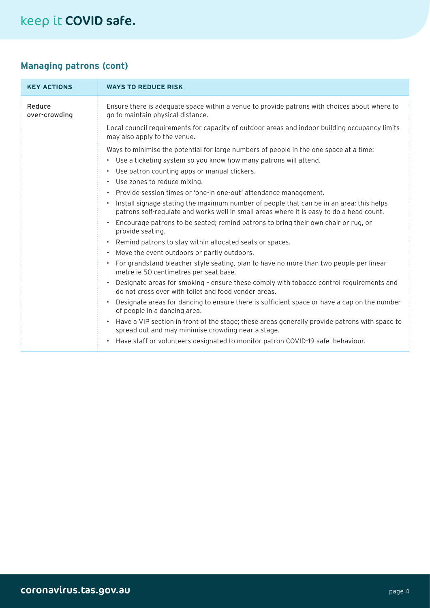#### **Managing patrons (cont)**

| <b>KEY ACTIONS</b>      | <b>WAYS TO REDUCE RISK</b>                                                                                                                                                                                                                                                                                                                                                                                                                                                                                                                                                                                                                                                                                                                                                                                                                                             |
|-------------------------|------------------------------------------------------------------------------------------------------------------------------------------------------------------------------------------------------------------------------------------------------------------------------------------------------------------------------------------------------------------------------------------------------------------------------------------------------------------------------------------------------------------------------------------------------------------------------------------------------------------------------------------------------------------------------------------------------------------------------------------------------------------------------------------------------------------------------------------------------------------------|
| Reduce<br>over-crowding | Ensure there is adequate space within a venue to provide patrons with choices about where to<br>go to maintain physical distance.                                                                                                                                                                                                                                                                                                                                                                                                                                                                                                                                                                                                                                                                                                                                      |
|                         | Local council requirements for capacity of outdoor areas and indoor building occupancy limits<br>may also apply to the venue.                                                                                                                                                                                                                                                                                                                                                                                                                                                                                                                                                                                                                                                                                                                                          |
|                         | Ways to minimise the potential for large numbers of people in the one space at a time:<br>• Use a ticketing system so you know how many patrons will attend.<br>• Use patron counting apps or manual clickers.<br>• Use zones to reduce mixing.<br>• Provide session times or 'one-in one-out' attendance management.<br>Install signage stating the maximum number of people that can be in an area; this helps<br>$\bullet$<br>patrons self-regulate and works well in small areas where it is easy to do a head count.<br>• Encourage patrons to be seated; remind patrons to bring their own chair or rug, or<br>provide seating.<br>Remind patrons to stay within allocated seats or spaces.<br>$\bullet$<br>Move the event outdoors or partly outdoors.<br>$\bullet$<br>• For grandstand bleacher style seating, plan to have no more than two people per linear |
|                         | metre ie 50 centimetres per seat base.<br>Designate areas for smoking - ensure these comply with tobacco control requirements and<br>do not cross over with toilet and food vendor areas.<br>Designate areas for dancing to ensure there is sufficient space or have a cap on the number<br>$\bullet$<br>of people in a dancing area.<br>Have a VIP section in front of the stage; these areas generally provide patrons with space to<br>$\bullet$<br>spread out and may minimise crowding near a stage.<br>Have staff or volunteers designated to monitor patron COVID-19 safe behaviour.<br>$\bullet$                                                                                                                                                                                                                                                               |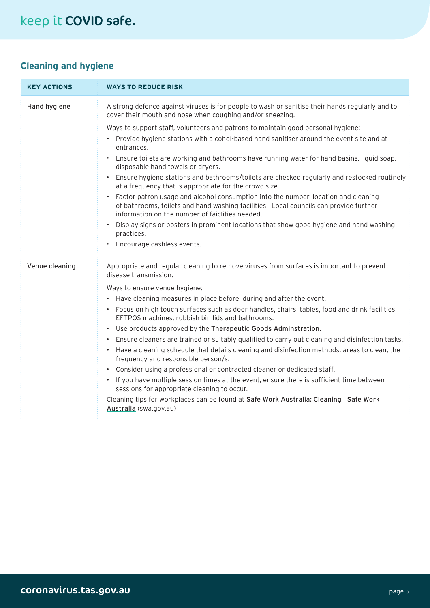#### **Cleaning and hygiene**

| <b>KEY ACTIONS</b> | <b>WAYS TO REDUCE RISK</b>                                                                                                                                                                                                     |
|--------------------|--------------------------------------------------------------------------------------------------------------------------------------------------------------------------------------------------------------------------------|
| Hand hygiene       | A strong defence against viruses is for people to wash or sanitise their hands regularly and to<br>cover their mouth and nose when coughing and/or sneezing.                                                                   |
|                    | Ways to support staff, volunteers and patrons to maintain good personal hygiene:                                                                                                                                               |
|                    | • Provide hygiene stations with alcohol-based hand sanitiser around the event site and at<br>entrances.                                                                                                                        |
|                    | Ensure toilets are working and bathrooms have running water for hand basins, liquid soap,<br>$\bullet$<br>disposable hand towels or dryers.                                                                                    |
|                    | • Ensure hygiene stations and bathrooms/toilets are checked regularly and restocked routinely<br>at a frequency that is appropriate for the crowd size.                                                                        |
|                    | Factor patron usage and alcohol consumption into the number, location and cleaning<br>of bathrooms, toilets and hand washing facilities. Local councils can provide further<br>information on the number of faiclities needed. |
|                    | Display signs or posters in prominent locations that show good hygiene and hand washing<br>practices.                                                                                                                          |
|                    | • Encourage cashless events.                                                                                                                                                                                                   |
| Venue cleaning     | Appropriate and regular cleaning to remove viruses from surfaces is important to prevent<br>disease transmission.                                                                                                              |
|                    | Ways to ensure venue hygiene:                                                                                                                                                                                                  |
|                    | • Have cleaning measures in place before, during and after the event.                                                                                                                                                          |
|                    | · Focus on high touch surfaces such as door handles, chairs, tables, food and drink facilities,<br>EFTPOS machines, rubbish bin lids and bathrooms.                                                                            |
|                    | Use products approved by the Therapeutic Goods Adminstration.<br>$\bullet$                                                                                                                                                     |
|                    | Ensure cleaners are trained or suitably qualified to carry out cleaning and disinfection tasks.<br>$\bullet$                                                                                                                   |
|                    | • Have a cleaning schedule that details cleaning and disinfection methods, areas to clean, the<br>frequency and responsible person/s.                                                                                          |
|                    | Consider using a professional or contracted cleaner or dedicated staff.                                                                                                                                                        |
|                    | • If you have multiple session times at the event, ensure there is sufficient time between<br>sessions for appropriate cleaning to occur.                                                                                      |
|                    | Cleaning tips for workplaces can be found at Safe Work Australia: Cleaning   Safe Work<br>Australia (swa.gov.au)                                                                                                               |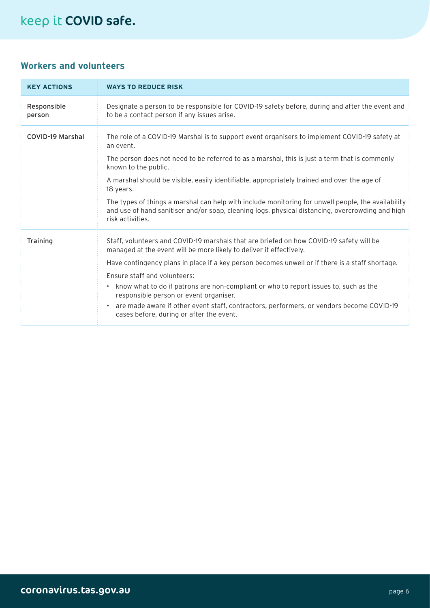# keep it COVID safe.

#### **Workers and volunteers**

| <b>KEY ACTIONS</b>    | <b>WAYS TO REDUCE RISK</b>                                                                                                                                                                                                                                                                                                                                                                                                                                                                                                                                                                            |
|-----------------------|-------------------------------------------------------------------------------------------------------------------------------------------------------------------------------------------------------------------------------------------------------------------------------------------------------------------------------------------------------------------------------------------------------------------------------------------------------------------------------------------------------------------------------------------------------------------------------------------------------|
| Responsible<br>person | Designate a person to be responsible for COVID-19 safety before, during and after the event and<br>to be a contact person if any issues arise.                                                                                                                                                                                                                                                                                                                                                                                                                                                        |
| COVID-19 Marshal      | The role of a COVID-19 Marshal is to support event organisers to implement COVID-19 safety at<br>an event.<br>The person does not need to be referred to as a marshal, this is just a term that is commonly<br>known to the public.<br>A marshal should be visible, easily identifiable, appropriately trained and over the age of<br>18 years.<br>The types of things a marshal can help with include monitoring for unwell people, the availability<br>and use of hand sanitiser and/or soap, cleaning logs, physical distancing, overcrowding and high<br>risk activities.                         |
| Training              | Staff, volunteers and COVID-19 marshals that are briefed on how COVID-19 safety will be<br>managed at the event will be more likely to deliver it effectively.<br>Have contingency plans in place if a key person becomes unwell or if there is a staff shortage.<br>Ensure staff and volunteers:<br>know what to do if patrons are non-compliant or who to report issues to, such as the<br>$\bullet$<br>responsible person or event organiser.<br>are made aware if other event staff, contractors, performers, or vendors become COVID-19<br>$\bullet$<br>cases before, during or after the event. |